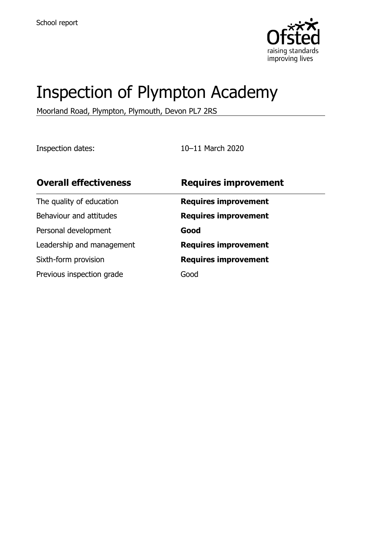

# Inspection of Plympton Academy

Moorland Road, Plympton, Plymouth, Devon PL7 2RS

Inspection dates: 10–11 March 2020

| <b>Overall effectiveness</b> | <b>Requires improvement</b> |
|------------------------------|-----------------------------|
| The quality of education     | <b>Requires improvement</b> |
| Behaviour and attitudes      | <b>Requires improvement</b> |
| Personal development         | Good                        |
| Leadership and management    | <b>Requires improvement</b> |
| Sixth-form provision         | <b>Requires improvement</b> |
| Previous inspection grade    | Good                        |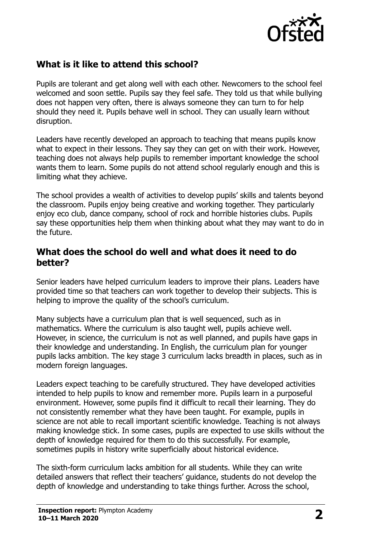

# **What is it like to attend this school?**

Pupils are tolerant and get along well with each other. Newcomers to the school feel welcomed and soon settle. Pupils say they feel safe. They told us that while bullying does not happen very often, there is always someone they can turn to for help should they need it. Pupils behave well in school. They can usually learn without disruption.

Leaders have recently developed an approach to teaching that means pupils know what to expect in their lessons. They say they can get on with their work. However, teaching does not always help pupils to remember important knowledge the school wants them to learn. Some pupils do not attend school regularly enough and this is limiting what they achieve.

The school provides a wealth of activities to develop pupils' skills and talents beyond the classroom. Pupils enjoy being creative and working together. They particularly enjoy eco club, dance company, school of rock and horrible histories clubs. Pupils say these opportunities help them when thinking about what they may want to do in the future.

#### **What does the school do well and what does it need to do better?**

Senior leaders have helped curriculum leaders to improve their plans. Leaders have provided time so that teachers can work together to develop their subjects. This is helping to improve the quality of the school's curriculum.

Many subjects have a curriculum plan that is well sequenced, such as in mathematics. Where the curriculum is also taught well, pupils achieve well. However, in science, the curriculum is not as well planned, and pupils have gaps in their knowledge and understanding. In English, the curriculum plan for younger pupils lacks ambition. The key stage 3 curriculum lacks breadth in places, such as in modern foreign languages.

Leaders expect teaching to be carefully structured. They have developed activities intended to help pupils to know and remember more. Pupils learn in a purposeful environment. However, some pupils find it difficult to recall their learning. They do not consistently remember what they have been taught. For example, pupils in science are not able to recall important scientific knowledge. Teaching is not always making knowledge stick. In some cases, pupils are expected to use skills without the depth of knowledge required for them to do this successfully. For example, sometimes pupils in history write superficially about historical evidence.

The sixth-form curriculum lacks ambition for all students. While they can write detailed answers that reflect their teachers' guidance, students do not develop the depth of knowledge and understanding to take things further. Across the school,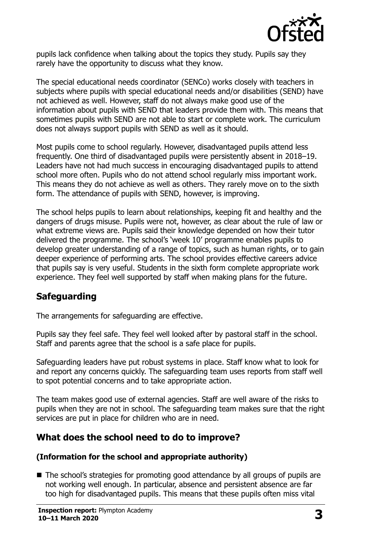

pupils lack confidence when talking about the topics they study. Pupils say they rarely have the opportunity to discuss what they know.

The special educational needs coordinator (SENCo) works closely with teachers in subjects where pupils with special educational needs and/or disabilities (SEND) have not achieved as well. However, staff do not always make good use of the information about pupils with SEND that leaders provide them with. This means that sometimes pupils with SEND are not able to start or complete work. The curriculum does not always support pupils with SEND as well as it should.

Most pupils come to school regularly. However, disadvantaged pupils attend less frequently. One third of disadvantaged pupils were persistently absent in 2018–19. Leaders have not had much success in encouraging disadvantaged pupils to attend school more often. Pupils who do not attend school regularly miss important work. This means they do not achieve as well as others. They rarely move on to the sixth form. The attendance of pupils with SEND, however, is improving.

The school helps pupils to learn about relationships, keeping fit and healthy and the dangers of drugs misuse. Pupils were not, however, as clear about the rule of law or what extreme views are. Pupils said their knowledge depended on how their tutor delivered the programme. The school's 'week 10' programme enables pupils to develop greater understanding of a range of topics, such as human rights, or to gain deeper experience of performing arts. The school provides effective careers advice that pupils say is very useful. Students in the sixth form complete appropriate work experience. They feel well supported by staff when making plans for the future.

# **Safeguarding**

The arrangements for safeguarding are effective.

Pupils say they feel safe. They feel well looked after by pastoral staff in the school. Staff and parents agree that the school is a safe place for pupils.

Safeguarding leaders have put robust systems in place. Staff know what to look for and report any concerns quickly. The safeguarding team uses reports from staff well to spot potential concerns and to take appropriate action.

The team makes good use of external agencies. Staff are well aware of the risks to pupils when they are not in school. The safeguarding team makes sure that the right services are put in place for children who are in need.

# **What does the school need to do to improve?**

#### **(Information for the school and appropriate authority)**

■ The school's strategies for promoting good attendance by all groups of pupils are not working well enough. In particular, absence and persistent absence are far too high for disadvantaged pupils. This means that these pupils often miss vital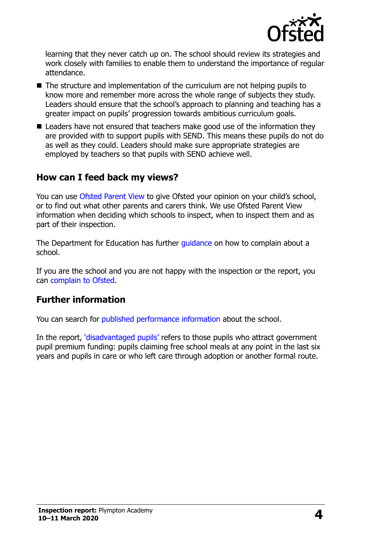

learning that they never catch up on. The school should review its strategies and work closely with families to enable them to understand the importance of regular attendance.

- The structure and implementation of the curriculum are not helping pupils to know more and remember more across the whole range of subjects they study. Leaders should ensure that the school's approach to planning and teaching has a greater impact on pupils' progression towards ambitious curriculum goals.
- Leaders have not ensured that teachers make good use of the information they are provided with to support pupils with SEND. This means these pupils do not do as well as they could. Leaders should make sure appropriate strategies are employed by teachers so that pupils with SEND achieve well.

## **How can I feed back my views?**

You can use [Ofsted Parent View](http://parentview.ofsted.gov.uk/) to give Ofsted your opinion on your child's school, or to find out what other parents and carers think. We use Ofsted Parent View information when deciding which schools to inspect, when to inspect them and as part of their inspection.

The Department for Education has further *quidance* on how to complain about a school.

If you are the school and you are not happy with the inspection or the report, you can [complain to Ofsted.](http://www.gov.uk/complain-ofsted-report)

## **Further information**

You can search for [published performance information](http://www.compare-school-performance.service.gov.uk/) about the school.

In the report, '[disadvantaged pupils](http://www.gov.uk/guidance/pupil-premium-information-for-schools-and-alternative-provision-settings)' refers to those pupils who attract government pupil premium funding: pupils claiming free school meals at any point in the last six years and pupils in care or who left care through adoption or another formal route.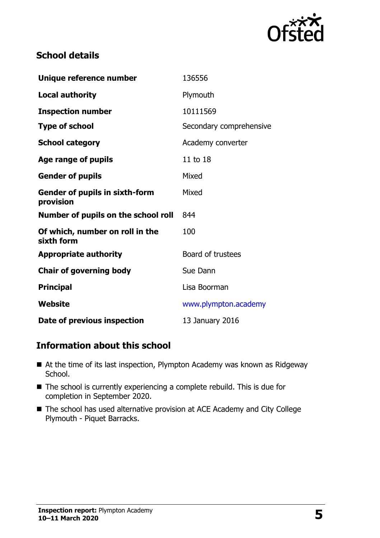

# **School details**

| Unique reference number                            | 136556                  |
|----------------------------------------------------|-------------------------|
| <b>Local authority</b>                             | Plymouth                |
| <b>Inspection number</b>                           | 10111569                |
| <b>Type of school</b>                              | Secondary comprehensive |
| <b>School category</b>                             | Academy converter       |
| Age range of pupils                                | 11 to 18                |
| <b>Gender of pupils</b>                            | Mixed                   |
| <b>Gender of pupils in sixth-form</b><br>provision | Mixed                   |
| Number of pupils on the school roll                | 844                     |
| Of which, number on roll in the<br>sixth form      | 100                     |
| <b>Appropriate authority</b>                       | Board of trustees       |
| <b>Chair of governing body</b>                     | Sue Dann                |
| <b>Principal</b>                                   | Lisa Boorman            |
| Website                                            | www.plympton.academy    |
| Date of previous inspection                        | 13 January 2016         |

## **Information about this school**

- At the time of its last inspection, Plympton Academy was known as Ridgeway School.
- The school is currently experiencing a complete rebuild. This is due for completion in September 2020.
- The school has used alternative provision at ACE Academy and City College Plymouth - Piquet Barracks.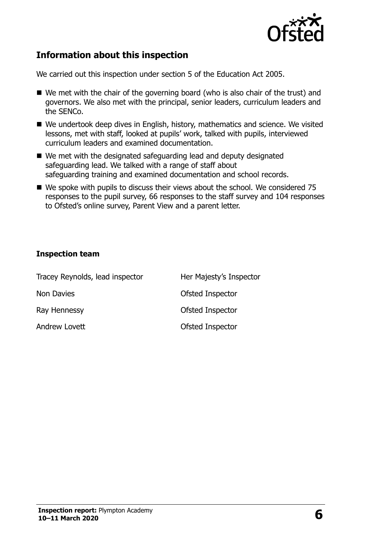

# **Information about this inspection**

We carried out this inspection under section 5 of the Education Act 2005.

- We met with the chair of the governing board (who is also chair of the trust) and governors. We also met with the principal, senior leaders, curriculum leaders and the SENCo.
- We undertook deep dives in English, history, mathematics and science. We visited lessons, met with staff, looked at pupils' work, talked with pupils, interviewed curriculum leaders and examined documentation.
- We met with the designated safeguarding lead and deputy designated safeguarding lead. We talked with a range of staff about safeguarding training and examined documentation and school records.
- We spoke with pupils to discuss their views about the school. We considered 75 responses to the pupil survey, 66 responses to the staff survey and 104 responses to Ofsted's online survey, Parent View and a parent letter.

#### **Inspection team**

| Tracey Reynolds, lead inspector | Her Majesty's Inspector |
|---------------------------------|-------------------------|
| Non Davies                      | Ofsted Inspector        |
| Ray Hennessy                    | Ofsted Inspector        |
| Andrew Lovett                   | Ofsted Inspector        |